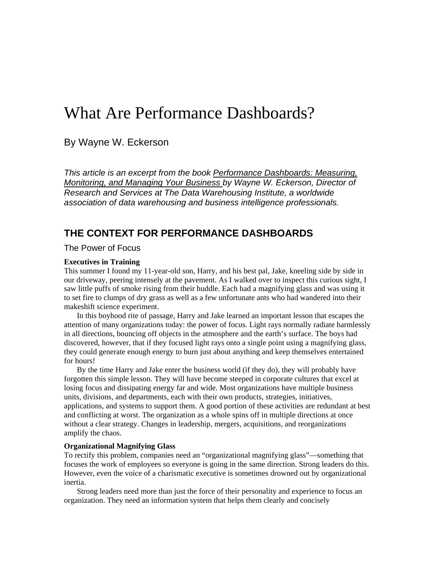# What Are Performance Dashboards?

By Wayne W. Eckerson

*This article is an excerpt from the book Performance Dashboards: Measuring, Monitoring, and Managing Your Business by Wayne W. Eckerson, Director of Research and Services at The Data Warehousing Institute, a worldwide association of data warehousing and business intelligence professionals.* 

## **THE CONTEXT FOR PERFORMANCE DASHBOARDS**

The Power of Focus

#### **Executives in Training**

This summer I found my 11-year-old son, Harry, and his best pal, Jake, kneeling side by side in our driveway, peering intensely at the pavement. As I walked over to inspect this curious sight, I saw little puffs of smoke rising from their huddle. Each had a magnifying glass and was using it to set fire to clumps of dry grass as well as a few unfortunate ants who had wandered into their makeshift science experiment.

In this boyhood rite of passage, Harry and Jake learned an important lesson that escapes the attention of many organizations today: the power of focus. Light rays normally radiate harmlessly in all directions, bouncing off objects in the atmosphere and the earth's surface. The boys had discovered, however, that if they focused light rays onto a single point using a magnifying glass, they could generate enough energy to burn just about anything and keep themselves entertained for hours!

By the time Harry and Jake enter the business world (if they do), they will probably have forgotten this simple lesson. They will have become steeped in corporate cultures that excel at losing focus and dissipating energy far and wide. Most organizations have multiple business units, divisions, and departments, each with their own products, strategies, initiatives, applications, and systems to support them. A good portion of these activities are redundant at best and conflicting at worst. The organization as a whole spins off in multiple directions at once without a clear strategy. Changes in leadership, mergers, acquisitions, and reorganizations amplify the chaos.

### **Organizational Magnifying Glass**

To rectify this problem, companies need an "organizational magnifying glass"—something that focuses the work of employees so everyone is going in the same direction. Strong leaders do this. However, even the voice of a charismatic executive is sometimes drowned out by organizational inertia.

Strong leaders need more than just the force of their personality and experience to focus an organization. They need an information system that helps them clearly and concisely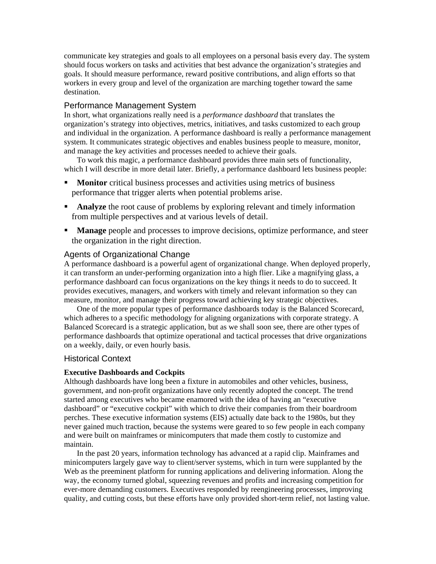communicate key strategies and goals to all employees on a personal basis every day. The system should focus workers on tasks and activities that best advance the organization's strategies and goals. It should measure performance, reward positive contributions, and align efforts so that workers in every group and level of the organization are marching together toward the same destination.

## Performance Management System

In short, what organizations really need is a *performance dashboard* that translates the organization's strategy into objectives, metrics, initiatives, and tasks customized to each group and individual in the organization. A performance dashboard is really a performance management system. It communicates strategic objectives and enables business people to measure, monitor, and manage the key activities and processes needed to achieve their goals.

To work this magic, a performance dashboard provides three main sets of functionality, which I will describe in more detail later. Briefly, a performance dashboard lets business people:

- **Monitor** critical business processes and activities using metrics of business performance that trigger alerts when potential problems arise.
- **Analyze** the root cause of problems by exploring relevant and timely information from multiple perspectives and at various levels of detail.
- **Manage** people and processes to improve decisions, optimize performance, and steer the organization in the right direction.

## Agents of Organizational Change

A performance dashboard is a powerful agent of organizational change. When deployed properly, it can transform an under-performing organization into a high flier. Like a magnifying glass, a performance dashboard can focus organizations on the key things it needs to do to succeed. It provides executives, managers, and workers with timely and relevant information so they can measure, monitor, and manage their progress toward achieving key strategic objectives.

One of the more popular types of performance dashboards today is the Balanced Scorecard, which adheres to a specific methodology for aligning organizations with corporate strategy. A Balanced Scorecard is a strategic application, but as we shall soon see, there are other types of performance dashboards that optimize operational and tactical processes that drive organizations on a weekly, daily, or even hourly basis.

## Historical Context

## **Executive Dashboards and Cockpits**

Although dashboards have long been a fixture in automobiles and other vehicles, business, government, and non-profit organizations have only recently adopted the concept. The trend started among executives who became enamored with the idea of having an "executive dashboard" or "executive cockpit" with which to drive their companies from their boardroom perches. These executive information systems (EIS) actually date back to the 1980s, but they never gained much traction, because the systems were geared to so few people in each company and were built on mainframes or minicomputers that made them costly to customize and maintain.

In the past 20 years, information technology has advanced at a rapid clip. Mainframes and minicomputers largely gave way to client/server systems, which in turn were supplanted by the Web as the preeminent platform for running applications and delivering information. Along the way, the economy turned global, squeezing revenues and profits and increasing competition for ever-more demanding customers. Executives responded by reengineering processes, improving quality, and cutting costs, but these efforts have only provided short-term relief, not lasting value.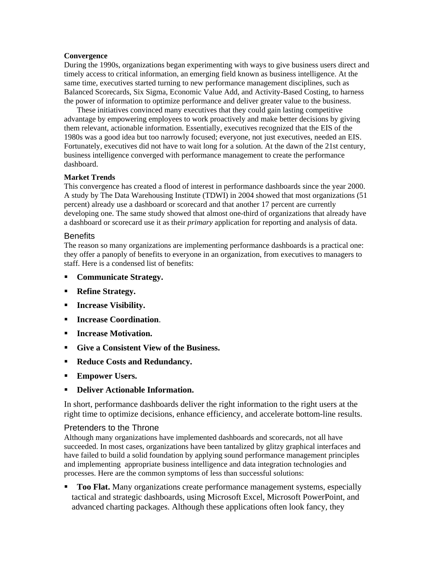#### **Convergence**

During the 1990s, organizations began experimenting with ways to give business users direct and timely access to critical information, an emerging field known as business intelligence. At the same time, executives started turning to new performance management disciplines, such as Balanced Scorecards, Six Sigma, Economic Value Add, and Activity-Based Costing, to harness the power of information to optimize performance and deliver greater value to the business.

These initiatives convinced many executives that they could gain lasting competitive advantage by empowering employees to work proactively and make better decisions by giving them relevant, actionable information. Essentially, executives recognized that the EIS of the 1980s was a good idea but too narrowly focused; everyone, not just executives, needed an EIS. Fortunately, executives did not have to wait long for a solution. At the dawn of the 21st century, business intelligence converged with performance management to create the performance dashboard.

## **Market Trends**

This convergence has created a flood of interest in performance dashboards since the year 2000. A study by The Data Warehousing Institute (TDWI) in 2004 showed that most organizations (51 percent) already use a dashboard or scorecard and that another 17 percent are currently developing one. The same study showed that almost one-third of organizations that already have a dashboard or scorecard use it as their *primary* application for reporting and analysis of data.

### **Benefits**

The reason so many organizations are implementing performance dashboards is a practical one: they offer a panoply of benefits to everyone in an organization, from executives to managers to staff. Here is a condensed list of benefits:

- **Communicate Strategy.**
- **Refine Strategy.**
- **Increase Visibility.**
- **Increase Coordination**.
- **Increase Motivation.**
- **Give a Consistent View of the Business.**
- **Reduce Costs and Redundancy.**
- **Empower Users.**
- **Deliver Actionable Information.**

In short, performance dashboards deliver the right information to the right users at the right time to optimize decisions, enhance efficiency, and accelerate bottom-line results.

## Pretenders to the Throne

Although many organizations have implemented dashboards and scorecards, not all have succeeded. In most cases, organizations have been tantalized by glitzy graphical interfaces and have failed to build a solid foundation by applying sound performance management principles and implementing appropriate business intelligence and data integration technologies and processes. Here are the common symptoms of less than successful solutions:

 **Too Flat.** Many organizations create performance management systems, especially tactical and strategic dashboards, using Microsoft Excel, Microsoft PowerPoint, and advanced charting packages. Although these applications often look fancy, they